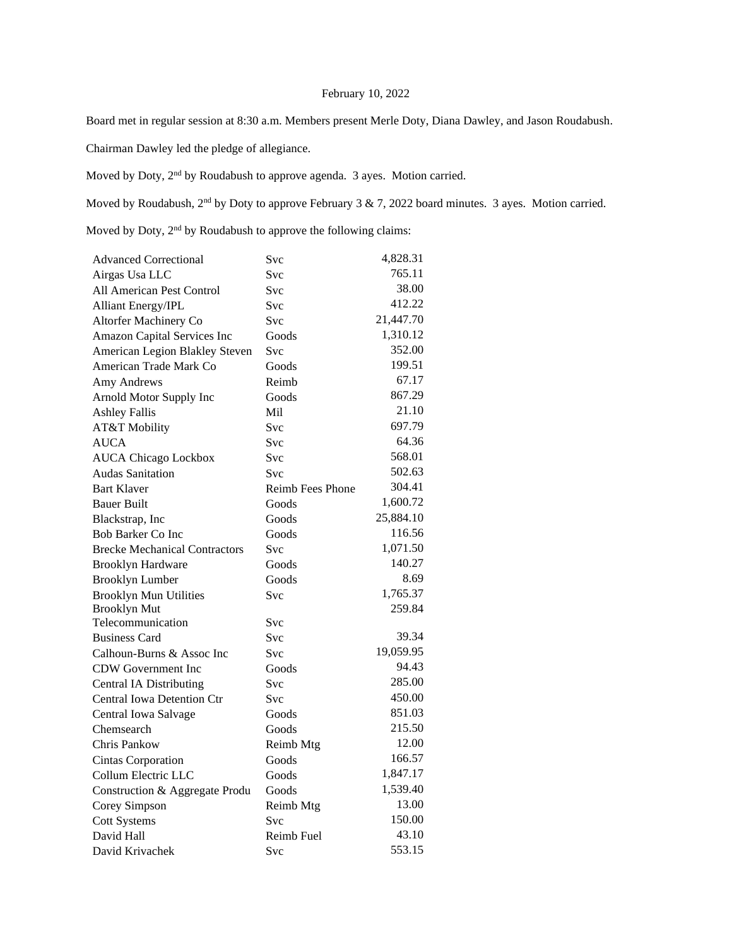# February 10, 2022

Board met in regular session at 8:30 a.m. Members present Merle Doty, Diana Dawley, and Jason Roudabush.

Chairman Dawley led the pledge of allegiance.

Moved by Doty,  $2<sup>nd</sup>$  by Roudabush to approve agenda. 3 ayes. Motion carried.

Moved by Roudabush, 2<sup>nd</sup> by Doty to approve February 3 & 7, 2022 board minutes. 3 ayes. Motion carried.

Moved by Doty,  $2<sup>nd</sup>$  by Roudabush to approve the following claims:

| <b>Advanced Correctional</b>         | Svc                     | 4,828.31  |
|--------------------------------------|-------------------------|-----------|
| Airgas Usa LLC                       | Svc                     | 765.11    |
| All American Pest Control            | Svc                     | 38.00     |
| <b>Alliant Energy/IPL</b>            | Svc                     | 412.22    |
| Altorfer Machinery Co                | Svc                     | 21,447.70 |
| Amazon Capital Services Inc          | Goods                   | 1,310.12  |
| American Legion Blakley Steven       | Svc                     | 352.00    |
| American Trade Mark Co               | Goods                   | 199.51    |
| Amy Andrews                          | Reimb                   | 67.17     |
| Arnold Motor Supply Inc              | Goods                   | 867.29    |
| <b>Ashley Fallis</b>                 | Mil                     | 21.10     |
| AT&T Mobility                        | Svc                     | 697.79    |
| <b>AUCA</b>                          | <b>Svc</b>              | 64.36     |
| <b>AUCA Chicago Lockbox</b>          | Svc                     | 568.01    |
| <b>Audas Sanitation</b>              | Svc                     | 502.63    |
| <b>Bart Klaver</b>                   | <b>Reimb Fees Phone</b> | 304.41    |
| <b>Bauer Built</b>                   | Goods                   | 1,600.72  |
| Blackstrap, Inc                      | Goods                   | 25,884.10 |
| <b>Bob Barker Co Inc</b>             | Goods                   | 116.56    |
| <b>Brecke Mechanical Contractors</b> | Svc                     | 1,071.50  |
| <b>Brooklyn Hardware</b>             | Goods                   | 140.27    |
| <b>Brooklyn Lumber</b>               | Goods                   | 8.69      |
| <b>Brooklyn Mun Utilities</b>        | Svc                     | 1,765.37  |
| <b>Brooklyn Mut</b>                  |                         | 259.84    |
| Telecommunication                    | Svc                     |           |
| <b>Business Card</b>                 | Svc                     | 39.34     |
| Calhoun-Burns & Assoc Inc            | Svc                     | 19,059.95 |
| <b>CDW</b> Government Inc            | Goods                   | 94.43     |
| <b>Central IA Distributing</b>       | Svc                     | 285.00    |
| <b>Central Iowa Detention Ctr</b>    | Svc                     | 450.00    |
| Central Iowa Salvage                 | Goods                   | 851.03    |
| Chemsearch                           | Goods                   | 215.50    |
| Chris Pankow                         | Reimb Mtg               | 12.00     |
| Cintas Corporation                   | Goods                   | 166.57    |
| Collum Electric LLC                  | Goods                   | 1,847.17  |
| Construction & Aggregate Produ       | Goods                   | 1,539.40  |
| Corey Simpson                        | Reimb Mtg               | 13.00     |
| <b>Cott Systems</b>                  | Svc                     | 150.00    |
| David Hall                           | Reimb Fuel              | 43.10     |
| David Krivachek                      | Svc                     | 553.15    |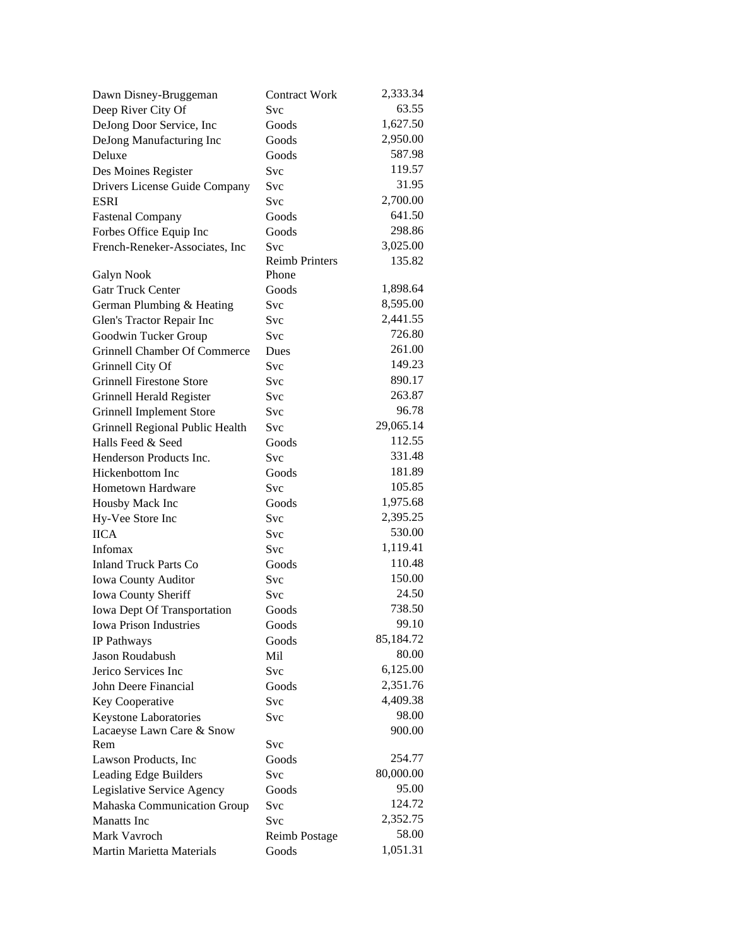| Dawn Disney-Bruggeman           | <b>Contract Work</b>  | 2,333.34  |
|---------------------------------|-----------------------|-----------|
| Deep River City Of              | Svc                   | 63.55     |
| DeJong Door Service, Inc        | Goods                 | 1,627.50  |
| DeJong Manufacturing Inc        | Goods                 | 2,950.00  |
| Deluxe                          | Goods                 | 587.98    |
| Des Moines Register             | Svc                   | 119.57    |
| Drivers License Guide Company   | Svc                   | 31.95     |
| <b>ESRI</b>                     | Svc                   | 2,700.00  |
| <b>Fastenal Company</b>         | Goods                 | 641.50    |
| Forbes Office Equip Inc         | Goods                 | 298.86    |
| French-Reneker-Associates, Inc  | Svc                   | 3,025.00  |
|                                 | <b>Reimb Printers</b> | 135.82    |
| Galyn Nook                      | Phone                 |           |
| <b>Gatr Truck Center</b>        | Goods                 | 1,898.64  |
| German Plumbing & Heating       | Svc                   | 8,595.00  |
| Glen's Tractor Repair Inc       | Svc                   | 2,441.55  |
| Goodwin Tucker Group            | Svc                   | 726.80    |
| Grinnell Chamber Of Commerce    | Dues                  | 261.00    |
| Grinnell City Of                | Svc                   | 149.23    |
| <b>Grinnell Firestone Store</b> | Svc                   | 890.17    |
| Grinnell Herald Register        | Svc                   | 263.87    |
| <b>Grinnell Implement Store</b> | Svc                   | 96.78     |
| Grinnell Regional Public Health | Svc                   | 29,065.14 |
| Halls Feed & Seed               | Goods                 | 112.55    |
| Henderson Products Inc.         | Svc                   | 331.48    |
| Hickenbottom Inc                | Goods                 | 181.89    |
| Hometown Hardware               | Svc                   | 105.85    |
| Housby Mack Inc                 | Goods                 | 1,975.68  |
| Hy-Vee Store Inc                | Svc                   | 2,395.25  |
| <b>IICA</b>                     | Svc                   | 530.00    |
| Infomax                         | Svc                   | 1,119.41  |
| <b>Inland Truck Parts Co</b>    | Goods                 | 110.48    |
| <b>Iowa County Auditor</b>      | Svc                   | 150.00    |
| Iowa County Sheriff             | Svc                   | 24.50     |
| Iowa Dept Of Transportation     | Goods                 | 738.50    |
| <b>Iowa Prison Industries</b>   | Goods                 | 99.10     |
| IP Pathways                     | Goods                 | 85,184.72 |
| Jason Roudabush                 | Mil                   | 80.00     |
| Jerico Services Inc             | Svc                   | 6,125.00  |
| John Deere Financial            | Goods                 | 2,351.76  |
| Key Cooperative                 | Svc                   | 4,409.38  |
| Keystone Laboratories           | Svc                   | 98.00     |
| Lacaeyse Lawn Care & Snow       |                       | 900.00    |
| Rem                             | Svc                   |           |
| Lawson Products, Inc.           | Goods                 | 254.77    |
| Leading Edge Builders           | Svc                   | 80,000.00 |
| Legislative Service Agency      | Goods                 | 95.00     |
| Mahaska Communication Group     | Svc                   | 124.72    |
| <b>Manatts</b> Inc              | Svc                   | 2,352.75  |
| Mark Vavroch                    | <b>Reimb Postage</b>  | 58.00     |
| Martin Marietta Materials       | Goods                 | 1,051.31  |
|                                 |                       |           |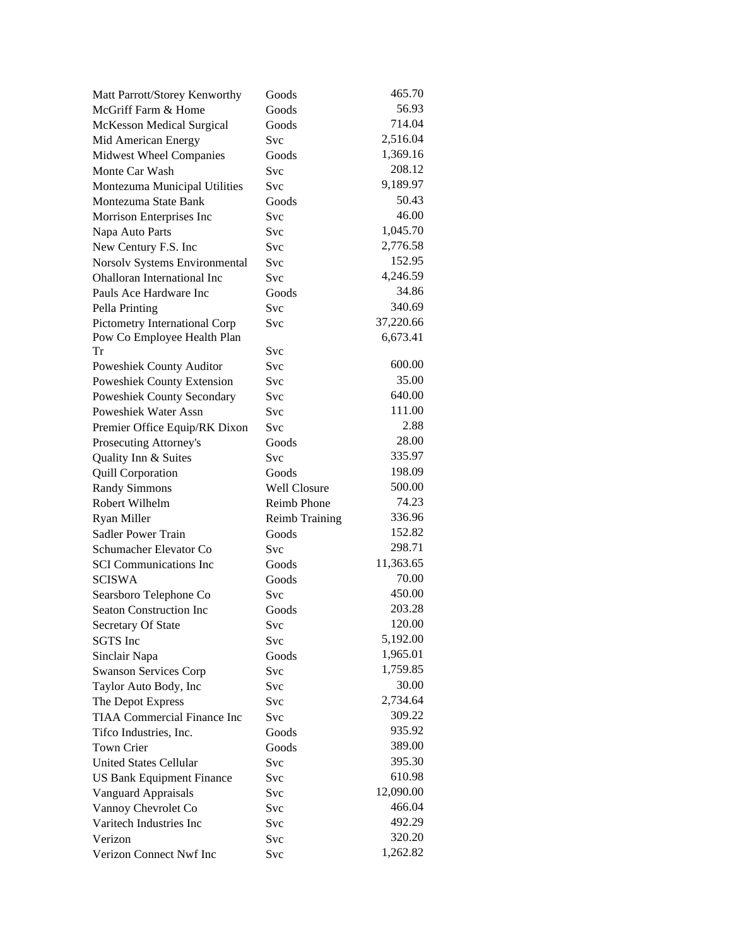| Matt Parrott/Storey Kenworthy      | Goods                 | 465.70    |
|------------------------------------|-----------------------|-----------|
| McGriff Farm & Home                | Goods                 | 56.93     |
| <b>McKesson Medical Surgical</b>   | Goods                 | 714.04    |
| Mid American Energy                | Svc                   | 2,516.04  |
| Midwest Wheel Companies            | Goods                 | 1,369.16  |
| Monte Car Wash                     | Svc                   | 208.12    |
| Montezuma Municipal Utilities      | Svc                   | 9,189.97  |
| Montezuma State Bank               | Goods                 | 50.43     |
| Morrison Enterprises Inc           | Svc                   | 46.00     |
| Napa Auto Parts                    | Svc                   | 1,045.70  |
| New Century F.S. Inc               | Svc                   | 2,776.58  |
| Norsolv Systems Environmental      | Svc                   | 152.95    |
| Ohalloran International Inc        | Svc                   | 4,246.59  |
| Pauls Ace Hardware Inc             | Goods                 | 34.86     |
| Pella Printing                     | <b>Svc</b>            | 340.69    |
| Pictometry International Corp      | Svc                   | 37,220.66 |
| Pow Co Employee Health Plan        |                       | 6,673.41  |
| Tr                                 | Svc                   |           |
| Poweshiek County Auditor           | Svc                   | 600.00    |
| Poweshiek County Extension         | Svc                   | 35.00     |
| <b>Poweshiek County Secondary</b>  | Svc                   | 640.00    |
| Poweshiek Water Assn               | Svc                   | 111.00    |
| Premier Office Equip/RK Dixon      | Svc                   | 2.88      |
| Prosecuting Attorney's             | Goods                 | 28.00     |
| Quality Inn & Suites               | Svc                   | 335.97    |
| <b>Quill Corporation</b>           | Goods                 | 198.09    |
| <b>Randy Simmons</b>               | <b>Well Closure</b>   | 500.00    |
| Robert Wilhelm                     | <b>Reimb Phone</b>    | 74.23     |
| Ryan Miller                        | <b>Reimb Training</b> | 336.96    |
| <b>Sadler Power Train</b>          | Goods                 | 152.82    |
| Schumacher Elevator Co             | Svc                   | 298.71    |
| <b>SCI</b> Communications Inc      | Goods                 | 11,363.65 |
| <b>SCISWA</b>                      | Goods                 | 70.00     |
| Searsboro Telephone Co             | Svc                   | 450.00    |
| Seaton Construction Inc            | Goods                 | 203.28    |
| Secretary Of State                 | Svc                   | 120.00    |
| SGTS Inc                           | Svc                   | 5,192.00  |
| Sinclair Napa                      | Goods                 | 1,965.01  |
| <b>Swanson Services Corp</b>       | Svc                   | 1,759.85  |
| Taylor Auto Body, Inc              | Svc                   | 30.00     |
| The Depot Express                  | Svc                   | 2,734.64  |
| <b>TIAA Commercial Finance Inc</b> | <b>Svc</b>            | 309.22    |
| Tifco Industries, Inc.             | Goods                 | 935.92    |
| Town Crier                         | Goods                 | 389.00    |
| <b>United States Cellular</b>      | Svc                   | 395.30    |
| <b>US Bank Equipment Finance</b>   | Svc                   | 610.98    |
| Vanguard Appraisals                | Svc                   | 12,090.00 |
| Vannoy Chevrolet Co                | Svc                   | 466.04    |
| Varitech Industries Inc            | Svc                   | 492.29    |
| Verizon                            | Svc                   | 320.20    |
| Verizon Connect Nwf Inc            | Svc                   | 1,262.82  |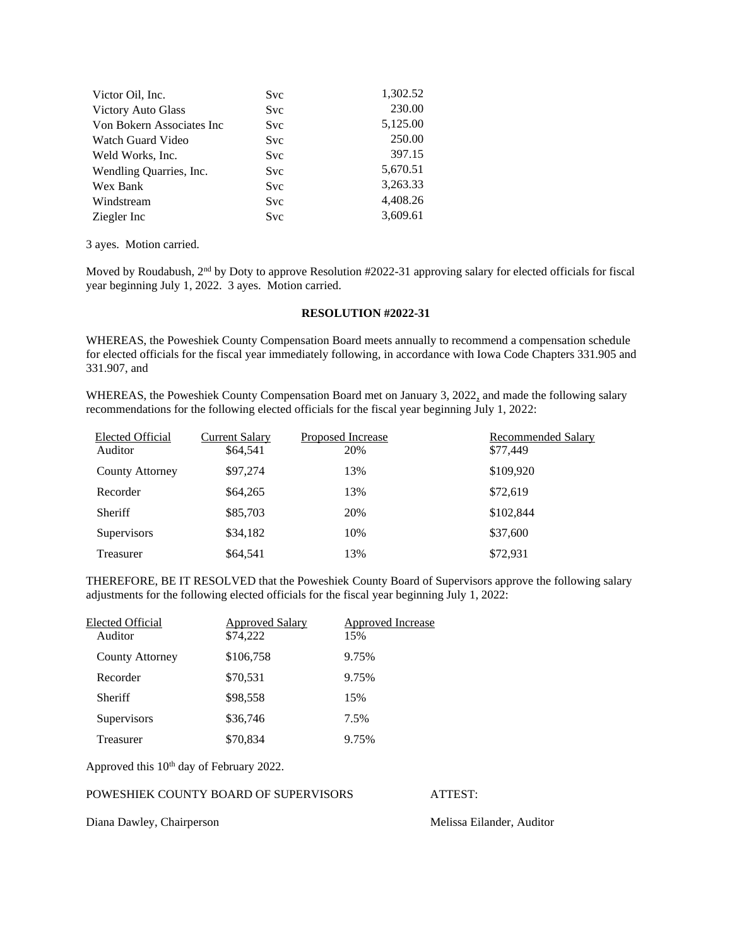| Victor Oil, Inc.          | <b>Svc</b> | 1,302.52 |
|---------------------------|------------|----------|
| <b>Victory Auto Glass</b> | <b>Svc</b> | 230.00   |
| Von Bokern Associates Inc | <b>Svc</b> | 5,125.00 |
| Watch Guard Video         | <b>Svc</b> | 250.00   |
| Weld Works, Inc.          | <b>Svc</b> | 397.15   |
| Wendling Quarries, Inc.   | <b>Svc</b> | 5,670.51 |
| Wex Bank                  | <b>Svc</b> | 3,263.33 |
| Windstream                | <b>Svc</b> | 4,408.26 |
| Ziegler Inc               | <b>Svc</b> | 3,609.61 |

3 ayes. Motion carried.

Moved by Roudabush, 2nd by Doty to approve Resolution #2022-31 approving salary for elected officials for fiscal year beginning July 1, 2022. 3 ayes. Motion carried.

### **RESOLUTION #2022-31**

WHEREAS, the Poweshiek County Compensation Board meets annually to recommend a compensation schedule for elected officials for the fiscal year immediately following, in accordance with Iowa Code Chapters 331.905 and 331.907, and

WHEREAS, the Poweshiek County Compensation Board met on January 3, 2022, and made the following salary recommendations for the following elected officials for the fiscal year beginning July 1, 2022:

| Elected Official<br>Auditor | <b>Current Salary</b><br>\$64,541 | <b>Proposed Increase</b><br>20% | <b>Recommended Salary</b><br>\$77,449 |
|-----------------------------|-----------------------------------|---------------------------------|---------------------------------------|
| <b>County Attorney</b>      | \$97,274                          | 13%                             | \$109,920                             |
| Recorder                    | \$64,265                          | 13%                             | \$72,619                              |
| Sheriff                     | \$85,703                          | 20%                             | \$102,844                             |
| <b>Supervisors</b>          | \$34,182                          | 10%                             | \$37,600                              |
| Treasurer                   | \$64,541                          | 13%                             | \$72,931                              |

THEREFORE, BE IT RESOLVED that the Poweshiek County Board of Supervisors approve the following salary adjustments for the following elected officials for the fiscal year beginning July 1, 2022:

| Elected Official       | <b>Approved Salary</b> | Approved Increase |
|------------------------|------------------------|-------------------|
| Auditor                | \$74,222               | 15%               |
| <b>County Attorney</b> | \$106,758              | 9.75%             |
| Recorder               | \$70,531               | 9.75%             |
| <b>Sheriff</b>         | \$98,558               | 15%               |
| Supervisors            | \$36,746               | 7.5%              |
| Treasurer              | \$70,834               | 9.75%             |

Approved this 10<sup>th</sup> day of February 2022.

### POWESHIEK COUNTY BOARD OF SUPERVISORS ATTEST:

Diana Dawley, Chairperson Melissa Eilander, Auditor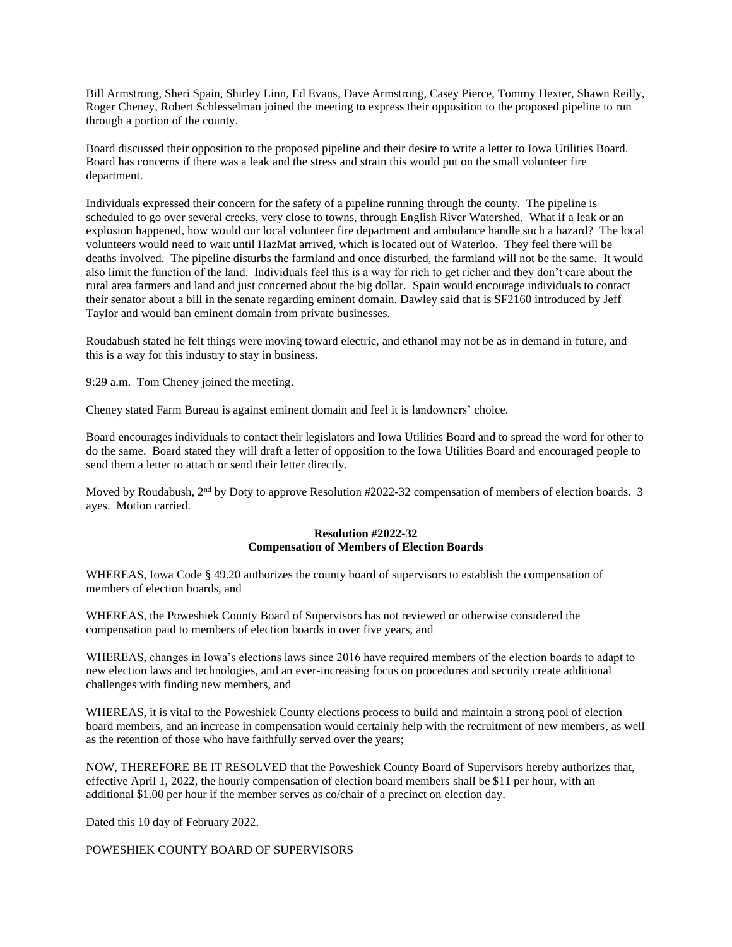Bill Armstrong, Sheri Spain, Shirley Linn, Ed Evans, Dave Armstrong, Casey Pierce, Tommy Hexter, Shawn Reilly, Roger Cheney, Robert Schlesselman joined the meeting to express their opposition to the proposed pipeline to run through a portion of the county.

Board discussed their opposition to the proposed pipeline and their desire to write a letter to Iowa Utilities Board. Board has concerns if there was a leak and the stress and strain this would put on the small volunteer fire department.

Individuals expressed their concern for the safety of a pipeline running through the county. The pipeline is scheduled to go over several creeks, very close to towns, through English River Watershed. What if a leak or an explosion happened, how would our local volunteer fire department and ambulance handle such a hazard? The local volunteers would need to wait until HazMat arrived, which is located out of Waterloo. They feel there will be deaths involved. The pipeline disturbs the farmland and once disturbed, the farmland will not be the same. It would also limit the function of the land. Individuals feel this is a way for rich to get richer and they don't care about the rural area farmers and land and just concerned about the big dollar. Spain would encourage individuals to contact their senator about a bill in the senate regarding eminent domain. Dawley said that is SF2160 introduced by Jeff Taylor and would ban eminent domain from private businesses.

Roudabush stated he felt things were moving toward electric, and ethanol may not be as in demand in future, and this is a way for this industry to stay in business.

9:29 a.m. Tom Cheney joined the meeting.

Cheney stated Farm Bureau is against eminent domain and feel it is landowners' choice.

Board encourages individuals to contact their legislators and Iowa Utilities Board and to spread the word for other to do the same. Board stated they will draft a letter of opposition to the Iowa Utilities Board and encouraged people to send them a letter to attach or send their letter directly.

Moved by Roudabush, 2<sup>nd</sup> by Doty to approve Resolution #2022-32 compensation of members of election boards. 3 ayes. Motion carried.

# **Resolution #2022-32 Compensation of Members of Election Boards**

WHEREAS, Iowa Code § 49.20 authorizes the county board of supervisors to establish the compensation of members of election boards, and

WHEREAS, the Poweshiek County Board of Supervisors has not reviewed or otherwise considered the compensation paid to members of election boards in over five years, and

WHEREAS, changes in Iowa's elections laws since 2016 have required members of the election boards to adapt to new election laws and technologies, and an ever-increasing focus on procedures and security create additional challenges with finding new members, and

WHEREAS, it is vital to the Poweshiek County elections process to build and maintain a strong pool of election board members, and an increase in compensation would certainly help with the recruitment of new members, as well as the retention of those who have faithfully served over the years;

NOW, THEREFORE BE IT RESOLVED that the Poweshiek County Board of Supervisors hereby authorizes that, effective April 1, 2022, the hourly compensation of election board members shall be \$11 per hour, with an additional \$1.00 per hour if the member serves as co/chair of a precinct on election day.

Dated this 10 day of February 2022.

POWESHIEK COUNTY BOARD OF SUPERVISORS